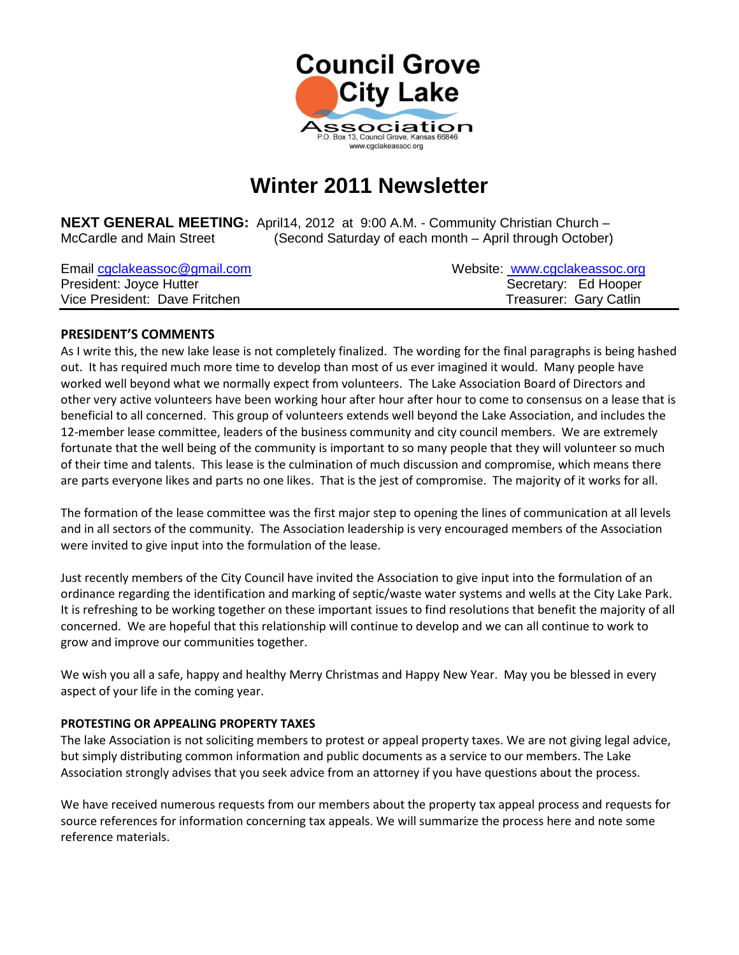

# **Winter 2011 Newsletter**

**NEXT GENERAL MEETING:** April14, 2012 at 9:00 A.M. - Community Christian Church – McCardle and Main Street (Second Saturday of each month – April through October)

| Email cgclakeassoc@gmail.com  | Website: www.cgclakeassoc.org |
|-------------------------------|-------------------------------|
| President: Joyce Hutter       | Secretary: Ed Hooper          |
| Vice President: Dave Fritchen | Treasurer: Gary Catlin        |

## **PRESIDENT'S COMMENTS**

As I write this, the new lake lease is not completely finalized. The wording for the final paragraphs is being hashed out. It has required much more time to develop than most of us ever imagined it would. Many people have worked well beyond what we normally expect from volunteers. The Lake Association Board of Directors and other very active volunteers have been working hour after hour after hour to come to consensus on a lease that is beneficial to all concerned. This group of volunteers extends well beyond the Lake Association, and includes the 12-member lease committee, leaders of the business community and city council members. We are extremely fortunate that the well being of the community is important to so many people that they will volunteer so much of their time and talents. This lease is the culmination of much discussion and compromise, which means there are parts everyone likes and parts no one likes. That is the jest of compromise. The majority of it works for all.

The formation of the lease committee was the first major step to opening the lines of communication at all levels and in all sectors of the community. The Association leadership is very encouraged members of the Association were invited to give input into the formulation of the lease.

Just recently members of the City Council have invited the Association to give input into the formulation of an ordinance regarding the identification and marking of septic/waste water systems and wells at the City Lake Park. It is refreshing to be working together on these important issues to find resolutions that benefit the majority of all concerned. We are hopeful that this relationship will continue to develop and we can all continue to work to grow and improve our communities together.

We wish you all a safe, happy and healthy Merry Christmas and Happy New Year. May you be blessed in every aspect of your life in the coming year.

## **PROTESTING OR APPEALING PROPERTY TAXES**

The lake Association is not soliciting members to protest or appeal property taxes. We are not giving legal advice, but simply distributing common information and public documents as a service to our members. The Lake Association strongly advises that you seek advice from an attorney if you have questions about the process.

We have received numerous requests from our members about the property tax appeal process and requests for source references for information concerning tax appeals. We will summarize the process here and note some reference materials.